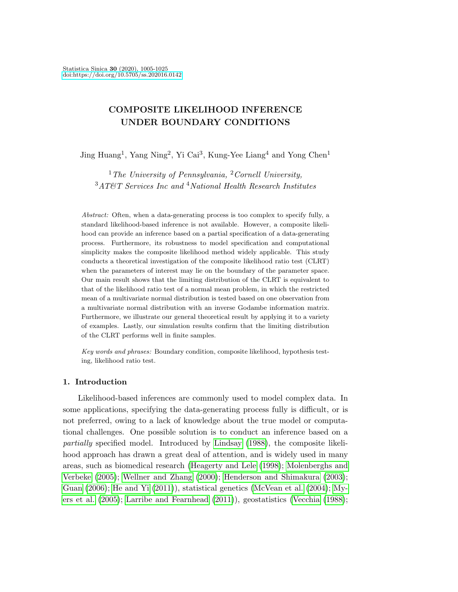# COMPOSITE LIKELIHOOD INFERENCE UNDER BOUNDARY CONDITIONS

Jing Huang<sup>1</sup>, Yang Ning<sup>2</sup>, Yi Cai<sup>3</sup>, Kung-Yee Liang<sup>4</sup> and Yong Chen<sup>1</sup>

<sup>1</sup>The University of Pennsylvania, <sup>2</sup>Cornell University, <sup>3</sup>AT&T Services Inc and <sup>4</sup>National Health Research Institutes

Abstract: Often, when a data-generating process is too complex to specify fully, a standard likelihood-based inference is not available. However, a composite likelihood can provide an inference based on a partial specification of a data-generating process. Furthermore, its robustness to model specification and computational simplicity makes the composite likelihood method widely applicable. This study conducts a theoretical investigation of the composite likelihood ratio test (CLRT) when the parameters of interest may lie on the boundary of the parameter space. Our main result shows that the limiting distribution of the CLRT is equivalent to that of the likelihood ratio test of a normal mean problem, in which the restricted mean of a multivariate normal distribution is tested based on one observation from a multivariate normal distribution with an inverse Godambe information matrix. Furthermore, we illustrate our general theoretical result by applying it to a variety of examples. Lastly, our simulation results confirm that the limiting distribution of the CLRT performs well in finite samples.

Key words and phrases: Boundary condition, composite likelihood, hypothesis testing, likelihood ratio test.

### 1. Introduction

Likelihood-based inferences are commonly used to model complex data. In some applications, specifying the data-generating process fully is difficult, or is not preferred, owing to a lack of knowledge about the true model or computational challenges. One possible solution is to conduct an inference based on a partially specified model. Introduced by [Lindsay](#page-19-0) [\(1988\)](#page-19-0), the composite likelihood approach has drawn a great deal of attention, and is widely used in many areas, such as biomedical research [\(Heagerty and Lele](#page-18-0) [\(1998\)](#page-18-0); [Molenberghs and](#page-19-1) [Verbeke](#page-19-1) [\(2005\)](#page-19-1); [Wellner and Zhang](#page-20-0) [\(2000\)](#page-20-0); [Henderson and Shimakura](#page-18-1) [\(2003\)](#page-18-1); [Guan](#page-18-2) [\(2006\)](#page-18-2); [He and Yi](#page-18-3) [\(2011\)](#page-18-3)), statistical genetics [\(McVean et al.](#page-19-2) [\(2004\)](#page-19-2); [My](#page-19-3)[ers et al.](#page-19-3) [\(2005\)](#page-19-3); [Larribe and Fearnhead](#page-19-4) [\(2011\)](#page-19-4)), geostatistics [\(Vecchia](#page-19-5) [\(1988\)](#page-19-5);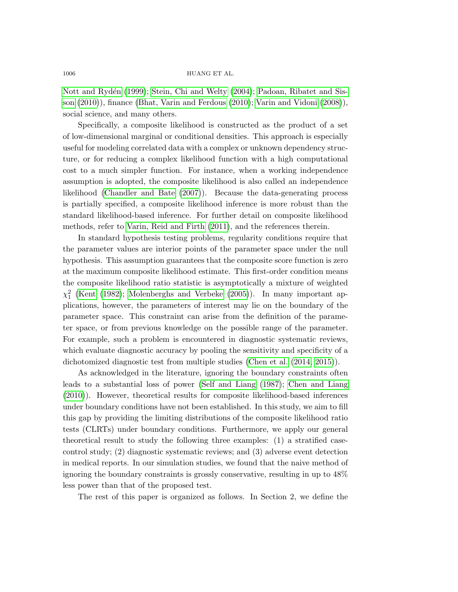Nott and Rydén [\(1999\)](#page-19-6); [Stein, Chi and Welty](#page-19-7) [\(2004\)](#page-19-7); [Padoan, Ribatet and Sis](#page-19-8)[son](#page-19-8) [\(2010\)](#page-19-8)), finance [\(Bhat, Varin and Ferdous](#page-17-0) [\(2010\)](#page-17-0); [Varin and Vidoni](#page-19-9) [\(2008\)](#page-19-9)), social science, and many others.

Specifically, a composite likelihood is constructed as the product of a set of low-dimensional marginal or conditional densities. This approach is especially useful for modeling correlated data with a complex or unknown dependency structure, or for reducing a complex likelihood function with a high computational cost to a much simpler function. For instance, when a working independence assumption is adopted, the composite likelihood is also called an independence likelihood [\(Chandler and Bate](#page-18-4) [\(2007\)](#page-18-4)). Because the data-generating process is partially specified, a composite likelihood inference is more robust than the standard likelihood-based inference. For further detail on composite likelihood methods, refer to [Varin, Reid and Firth](#page-19-10) [\(2011\)](#page-19-10), and the references therein.

In standard hypothesis testing problems, regularity conditions require that the parameter values are interior points of the parameter space under the null hypothesis. This assumption guarantees that the composite score function is zero at the maximum composite likelihood estimate. This first-order condition means the composite likelihood ratio statistic is asymptotically a mixture of weighted  $\chi_1^2$  [\(Kent](#page-18-5) [\(1982\)](#page-18-5); [Molenberghs and Verbeke](#page-19-1) [\(2005\)](#page-19-1)). In many important applications, however, the parameters of interest may lie on the boundary of the parameter space. This constraint can arise from the definition of the parameter space, or from previous knowledge on the possible range of the parameter. For example, such a problem is encountered in diagnostic systematic reviews, which evaluate diagnostic accuracy by pooling the sensitivity and specificity of a dichotomized diagnostic test from multiple studies [\(Chen et al.](#page-18-6) [\(2014,](#page-18-6) [2015\)](#page-18-7)).

As acknowledged in the literature, ignoring the boundary constraints often leads to a substantial loss of power [\(Self and Liang](#page-19-11) [\(1987\)](#page-19-11); [Chen and Liang](#page-18-8) [\(2010\)](#page-18-8)). However, theoretical results for composite likelihood-based inferences under boundary conditions have not been established. In this study, we aim to fill this gap by providing the limiting distributions of the composite likelihood ratio tests (CLRTs) under boundary conditions. Furthermore, we apply our general theoretical result to study the following three examples: (1) a stratified casecontrol study; (2) diagnostic systematic reviews; and (3) adverse event detection in medical reports. In our simulation studies, we found that the naive method of ignoring the boundary constraints is grossly conservative, resulting in up to 48% less power than that of the proposed test.

The rest of this paper is organized as follows. In Section 2, we define the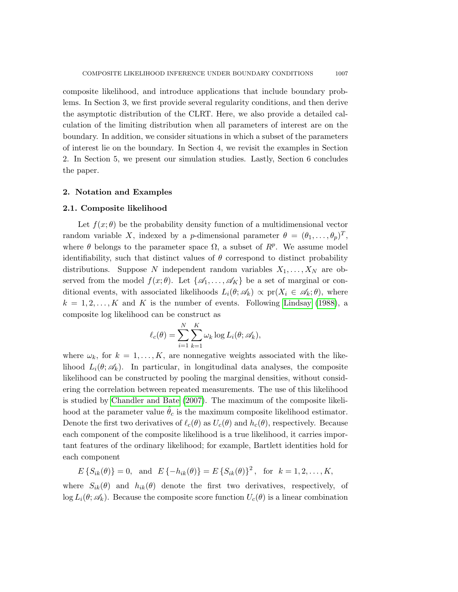composite likelihood, and introduce applications that include boundary problems. In Section 3, we first provide several regularity conditions, and then derive the asymptotic distribution of the CLRT. Here, we also provide a detailed calculation of the limiting distribution when all parameters of interest are on the boundary. In addition, we consider situations in which a subset of the parameters of interest lie on the boundary. In Section 4, we revisit the examples in Section 2. In Section 5, we present our simulation studies. Lastly, Section 6 concludes the paper.

#### 2. Notation and Examples

#### 2.1. Composite likelihood

Let  $f(x; \theta)$  be the probability density function of a multidimensional vector random variable X, indexed by a *p*-dimensional parameter  $\theta = (\theta_1, \dots, \theta_p)^T$ , where  $\theta$  belongs to the parameter space  $\Omega$ , a subset of  $R^p$ . We assume model identifiability, such that distinct values of  $\theta$  correspond to distinct probability distributions. Suppose N independent random variables  $X_1, \ldots, X_N$  are observed from the model  $f(x; \theta)$ . Let  $\{\mathscr{A}_1, \ldots, \mathscr{A}_K\}$  be a set of marginal or conditional events, with associated likelihoods  $L_i(\theta; \mathscr{A}_k) \propto \text{pr}(X_i \in \mathscr{A}_k; \theta)$ , where  $k = 1, 2, \ldots, K$  and K is the number of events. Following [Lindsay](#page-19-0) [\(1988\)](#page-19-0), a composite log likelihood can be construct as

$$
\ell_c(\theta) = \sum_{i=1}^N \sum_{k=1}^K \omega_k \log L_i(\theta; \mathcal{A}_k),
$$

where  $\omega_k$ , for  $k = 1, ..., K$ , are nonnegative weights associated with the likelihood  $L_i(\theta; \mathcal{A}_k)$ . In particular, in longitudinal data analyses, the composite likelihood can be constructed by pooling the marginal densities, without considering the correlation between repeated measurements. The use of this likelihood is studied by [Chandler and Bate](#page-18-4) [\(2007\)](#page-18-4). The maximum of the composite likelihood at the parameter value  $\hat{\theta}_c$  is the maximum composite likelihood estimator. Denote the first two derivatives of  $\ell_c(\theta)$  as  $U_c(\theta)$  and  $h_c(\theta)$ , respectively. Because each component of the composite likelihood is a true likelihood, it carries important features of the ordinary likelihood; for example, Bartlett identities hold for each component

$$
E\{S_{ik}(\theta)\}=0
$$
, and  $E\{-h_{ik}(\theta)\}=E\{S_{ik}(\theta)\}^2$ , for  $k=1,2,...,K$ ,

where  $S_{ik}(\theta)$  and  $h_{ik}(\theta)$  denote the first two derivatives, respectively, of  $\log L_i(\theta; \mathscr{A}_k)$ . Because the composite score function  $U_c(\theta)$  is a linear combination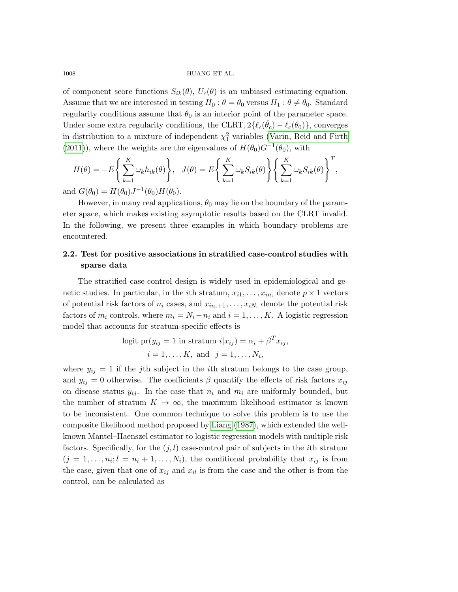of component score functions  $S_{ik}(\theta)$ ,  $U_c(\theta)$  is an unbiased estimating equation. Assume that we are interested in testing  $H_0$ :  $\theta = \theta_0$  versus  $H_1$ :  $\theta \neq \theta_0$ . Standard regularity conditions assume that  $\theta_0$  is an interior point of the parameter space. Under some extra regularity conditions, the CLRT,  $2\{\ell_c(\hat{\theta}_c) - \ell_c(\theta_0)\}\text{, converges}$ in distribution to a mixture of independent  $\chi_1^2$  variables [\(Varin, Reid and Firth](#page-19-10) [\(2011\)](#page-19-10)), where the weights are the eigenvalues of  $H(\theta_0)G^{-1}(\theta_0)$ , with

$$
H(\theta) = -E\left\{\sum_{k=1}^{K} \omega_k h_{ik}(\theta)\right\}, \quad J(\theta) = E\left\{\sum_{k=1}^{K} \omega_k S_{ik}(\theta)\right\} \left\{\sum_{k=1}^{K} \omega_k S_{ik}(\theta)\right\}^T,
$$
  
and  $G(\theta_0) = H(\theta_0) I^{-1}(\theta_0) H(\theta_0)$ 

and  $G(\theta_0) = H(\theta_0)J^{-1}(\theta_0)H(\theta_0)$ .

However, in many real applications,  $\theta_0$  may lie on the boundary of the parameter space, which makes existing asymptotic results based on the CLRT invalid. In the following, we present three examples in which boundary problems are encountered.

## 2.2. Test for positive associations in stratified case-control studies with sparse data

The stratified case-control design is widely used in epidemiological and genetic studies. In particular, in the *i*th stratum,  $x_{i1}, \ldots, x_{in_i}$  denote  $p \times 1$  vectors of potential risk factors of  $n_i$  cases, and  $x_{in_i+1}, \ldots, x_{iN_i}$  denote the potential risk factors of  $m_i$  controls, where  $m_i = N_i - n_i$  and  $i = 1, ..., K$ . A logistic regression model that accounts for stratum-specific effects is

logit 
$$
pr(y_{ij} = 1
$$
 in stratum  $i|x_{ij}) = \alpha_i + \beta^T x_{ij}$ ,  
\n $i = 1, ..., K$ , and  $j = 1, ..., N_i$ ,

where  $y_{ij} = 1$  if the j<sup>th</sup> subject in the *i*<sup>th</sup> stratum belongs to the case group, and  $y_{ij} = 0$  otherwise. The coefficients  $\beta$  quantify the effects of risk factors  $x_{ij}$ on disease status  $y_{ij}$ . In the case that  $n_i$  and  $m_i$  are uniformly bounded, but the number of stratum  $K \to \infty$ , the maximum likelihood estimator is known to be inconsistent. One common technique to solve this problem is to use the composite likelihood method proposed by [Liang](#page-19-12) [\(1987\)](#page-19-12), which extended the wellknown Mantel–Haenszel estimator to logistic regression models with multiple risk factors. Specifically, for the  $(j, l)$  case-control pair of subjects in the *i*th stratum  $(j = 1, \ldots, n_i; l = n_i + 1, \ldots, N_i)$ , the conditional probability that  $x_{ij}$  is from the case, given that one of  $x_{ij}$  and  $x_{il}$  is from the case and the other is from the control, can be calculated as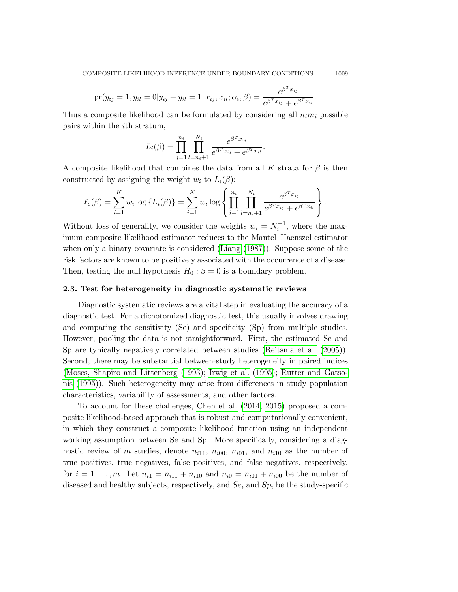$$
\text{pr}(y_{ij} = 1, y_{il} = 0 | y_{ij} + y_{il} = 1, x_{ij}, x_{il}; \alpha_i, \beta) = \frac{e^{\beta^T x_{ij}}}{e^{\beta^T x_{ij}} + e^{\beta^T x_{il}}}
$$

Thus a composite likelihood can be formulated by considering all  $n_i m_i$  possible pairs within the ith stratum,

$$
L_i(\beta) = \prod_{j=1}^{n_i} \prod_{l=n_i+1}^{N_i} \frac{e^{\beta^T x_{ij}}}{e^{\beta^T x_{ij}} + e^{\beta^T x_{il}}}.
$$

A composite likelihood that combines the data from all K strata for  $\beta$  is then constructed by assigning the weight  $w_i$  to  $L_i(\beta)$ :

$$
\ell_c(\beta) = \sum_{i=1}^K w_i \log \{L_i(\beta)\} = \sum_{i=1}^K w_i \log \left\{ \prod_{j=1}^{n_i} \prod_{l=n_i+1}^{N_i} \frac{e^{\beta^T x_{ij}}}{e^{\beta^T x_{ij}} + e^{\beta^T x_{il}}} \right\}.
$$

Without loss of generality, we consider the weights  $w_i = N_i^{-1}$ , where the maximum composite likelihood estimator reduces to the Mantel–Haenszel estimator when only a binary covariate is considered [\(Liang](#page-19-12) [\(1987\)](#page-19-12)). Suppose some of the risk factors are known to be positively associated with the occurrence of a disease. Then, testing the null hypothesis  $H_0$ :  $\beta = 0$  is a boundary problem.

### 2.3. Test for heterogeneity in diagnostic systematic reviews

Diagnostic systematic reviews are a vital step in evaluating the accuracy of a diagnostic test. For a dichotomized diagnostic test, this usually involves drawing and comparing the sensitivity (Se) and specificity (Sp) from multiple studies. However, pooling the data is not straightforward. First, the estimated Se and Sp are typically negatively correlated between studies [\(Reitsma et al.](#page-19-13) [\(2005\)](#page-19-13)). Second, there may be substantial between-study heterogeneity in paired indices [\(Moses, Shapiro and Littenberg](#page-19-14) [\(1993\)](#page-19-14); [Irwig et al.](#page-18-9) [\(1995\)](#page-18-9); [Rutter and Gatso](#page-19-15)[nis](#page-19-15) [\(1995\)](#page-19-15)). Such heterogeneity may arise from differences in study population characteristics, variability of assessments, and other factors.

To account for these challenges, [Chen et al.](#page-18-6) [\(2014,](#page-18-6) [2015\)](#page-18-7) proposed a composite likelihood-based approach that is robust and computationally convenient, in which they construct a composite likelihood function using an independent working assumption between Se and Sp. More specifically, considering a diagnostic review of m studies, denote  $n_{i11}$ ,  $n_{i00}$ ,  $n_{i01}$ , and  $n_{i10}$  as the number of true positives, true negatives, false positives, and false negatives, respectively, for  $i = 1, ..., m$ . Let  $n_{i1} = n_{i11} + n_{i10}$  and  $n_{i0} = n_{i01} + n_{i00}$  be the number of diseased and healthy subjects, respectively, and  $Se_i$  and  $Sp_i$  be the study-specific

.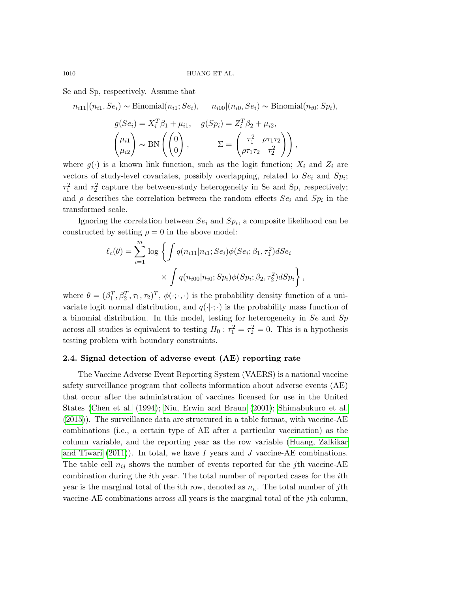Se and Sp, respectively. Assume that

 $n_{i11}|(n_{i1}, Se_i) \sim Binomial(n_{i1}; Se_i), \quad n_{i00}|(n_{i0}, Se_i) \sim Binomial(n_{i0}; Sp_i),$  $g(Se_i) = X_i^T \beta_1 + \mu_{i1}, \quad g(Sp_i) = Z_i^T \beta_2 + \mu_{i2},$ 

$$
\begin{pmatrix} \mu_{i1} \\ \mu_{i2} \end{pmatrix} \sim \text{BN}\left(\begin{pmatrix} 0 \\ 0 \end{pmatrix}, \qquad \Sigma = \begin{pmatrix} \tau_1^2 & \rho \tau_1 \tau_2 \\ \rho \tau_1 \tau_2 & \tau_2^2 \end{pmatrix}\right),
$$

where  $g(\cdot)$  is a known link function, such as the logit function;  $X_i$  and  $Z_i$  are vectors of study-level covariates, possibly overlapping, related to  $Se_i$  and  $Sp_i$ ;  $\tau_1^2$  and  $\tau_2^2$  capture the between-study heterogeneity in Se and Sp, respectively; and  $\rho$  describes the correlation between the random effects  $Se_i$  and  $Sp_i$  in the transformed scale.

Ignoring the correlation between  $Se_i$  and  $Sp_i$ , a composite likelihood can be constructed by setting  $\rho = 0$  in the above model:

$$
\ell_c(\theta) = \sum_{i=1}^m \log \left\{ \int q(n_{i11}|n_{i1}; Se_i) \phi(Se_i; \beta_1, \tau_1^2) dSe_i \times \int q(n_{i00}|n_{i0}; Sp_i) \phi(Sp_i; \beta_2, \tau_2^2) dSp_i \right\},
$$

where  $\theta = (\beta_1^T, \beta_2^T, \tau_1, \tau_2)^T$ ,  $\phi(\cdot; \cdot, \cdot)$  is the probability density function of a univariate logit normal distribution, and  $q(\cdot|\cdot;\cdot)$  is the probability mass function of a binomial distribution. In this model, testing for heterogeneity in  $Se$  and  $Sp$ across all studies is equivalent to testing  $H_0: \tau_1^2 = \tau_2^2 = 0$ . This is a hypothesis testing problem with boundary constraints.

### 2.4. Signal detection of adverse event (AE) reporting rate

The Vaccine Adverse Event Reporting System (VAERS) is a national vaccine safety surveillance program that collects information about adverse events (AE) that occur after the administration of vaccines licensed for use in the United States [\(Chen et al.](#page-18-10) [\(1994\)](#page-18-10); [Niu, Erwin and Braun](#page-19-16) [\(2001\)](#page-19-16); [Shimabukuro et al.](#page-19-17) [\(2015\)](#page-19-17)). The surveillance data are structured in a table format, with vaccine-AE combinations (i.e., a certain type of AE after a particular vaccination) as the column variable, and the reporting year as the row variable [\(Huang, Zalkikar](#page-18-11) [and Tiwari](#page-18-11) [\(2011\)](#page-18-11)). In total, we have I years and J vaccine-AE combinations. The table cell  $n_{ij}$  shows the number of events reported for the jth vaccine-AE combination during the ith year. The total number of reported cases for the ith year is the marginal total of the *i*th row, denoted as  $n_i$ . The total number of *j*th vaccine-AE combinations across all years is the marginal total of the jth column,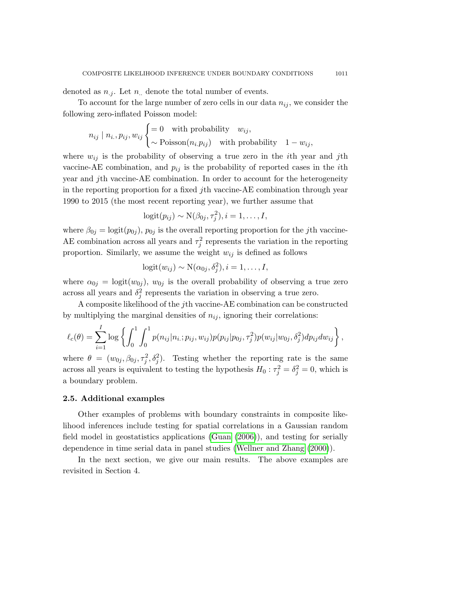denoted as  $n_{i}$ . Let  $n_{i}$  denote the total number of events.

To account for the large number of zero cells in our data  $n_{ij}$ , we consider the following zero-inflated Poisson model:

$$
n_{ij} | n_{i.}, p_{ij}, w_{ij} \begin{cases} = 0 & \text{with probability} \quad w_{ij}, \\ \sim \text{Poisson}(n_i.p_{ij}) & \text{with probability} \quad 1 - w_{ij}, \end{cases}
$$

where  $w_{ij}$  is the probability of observing a true zero in the *i*th year and *j*th vaccine-AE combination, and  $p_{ij}$  is the probability of reported cases in the *i*th year and jth vaccine-AE combination. In order to account for the heterogeneity in the reporting proportion for a fixed jth vaccine-AE combination through year 1990 to 2015 (the most recent reporting year), we further assume that

$$
logit(p_{ij}) \sim N(\beta_{0j}, \tau_j^2), i = 1, \ldots, I,
$$

where  $\beta_{0j} = \text{logit}(p_{0j}), p_{0j}$  is the overall reporting proportion for the jth vaccine-AE combination across all years and  $\tau_j^2$  represents the variation in the reporting proportion. Similarly, we assume the weight  $w_{ij}$  is defined as follows

$$
logit(w_{ij}) \sim N(\alpha_{0j}, \delta_j^2), i = 1, \ldots, I,
$$

where  $\alpha_{0j} = \text{logit}(w_{0j}), w_{0j}$  is the overall probability of observing a true zero across all years and  $\delta_j^2$  represents the variation in observing a true zero.

A composite likelihood of the jth vaccine-AE combination can be constructed by multiplying the marginal densities of  $n_{ij}$ , ignoring their correlations:

$$
\ell_c(\theta) = \sum_{i=1}^I \log \left\{ \int_0^1 \int_0^1 p(n_{ij}|n_{i,:}p_{ij}, w_{ij}) p(p_{ij}|p_{0j}, \tau_j^2) p(w_{ij}|w_{0j}, \delta_j^2) dp_{ij} dw_{ij} \right\},\,
$$

where  $\theta = (w_{0j}, \beta_{0j}, \tau_j^2, \delta_j^2)$ . Testing whether the reporting rate is the same across all years is equivalent to testing the hypothesis  $H_0: \tau_j^2 = \delta_j^2 = 0$ , which is a boundary problem.

#### 2.5. Additional examples

Other examples of problems with boundary constraints in composite likelihood inferences include testing for spatial correlations in a Gaussian random field model in geostatistics applications [\(Guan](#page-18-2) [\(2006\)](#page-18-2)), and testing for serially dependence in time serial data in panel studies [\(Wellner and Zhang](#page-20-0) [\(2000\)](#page-20-0)).

In the next section, we give our main results. The above examples are revisited in Section 4.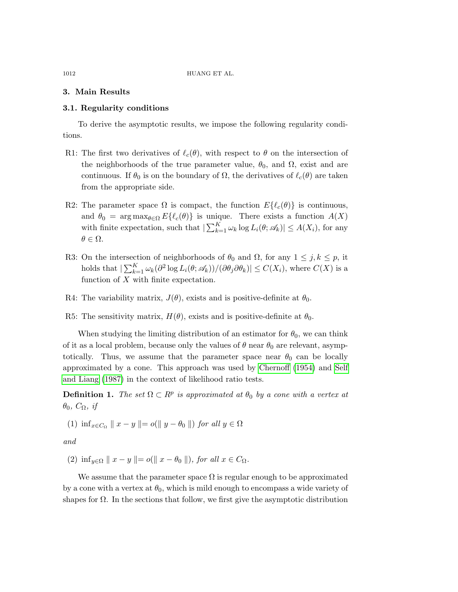### 3. Main Results

#### 3.1. Regularity conditions

To derive the asymptotic results, we impose the following regularity conditions.

- R1: The first two derivatives of  $\ell_c(\theta)$ , with respect to  $\theta$  on the intersection of the neighborhoods of the true parameter value,  $\theta_0$ , and  $\Omega$ , exist and are continuous. If  $\theta_0$  is on the boundary of  $\Omega$ , the derivatives of  $\ell_c(\theta)$  are taken from the appropriate side.
- R2: The parameter space  $\Omega$  is compact, the function  $E\{\ell_c(\theta)\}\$ is continuous, and  $\theta_0 = \arg \max_{\theta \in \Omega} E\{\ell_c(\theta)\}\$ is unique. There exists a function  $A(X)$ with finite expectation, such that  $\left|\sum_{k=1}^K \omega_k \log L_i(\theta; \mathcal{A}_k)\right| \leq A(X_i)$ , for any  $\theta \in \Omega$ .
- R3: On the intersection of neighborhoods of  $\theta_0$  and  $\Omega$ , for any  $1 \leq j, k \leq p$ , it holds that  $|\sum_{k=1}^K \omega_k(\partial^2 \log L_i(\theta; \mathscr{A}_k))/(\partial \theta_j \partial \theta_k)| \le C(X_i)$ , where  $C(X)$  is a function of  $X$  with finite expectation.
- R4: The variability matrix,  $J(\theta)$ , exists and is positive-definite at  $\theta_0$ .

R5: The sensitivity matrix,  $H(\theta)$ , exists and is positive-definite at  $\theta_0$ .

When studying the limiting distribution of an estimator for  $\theta_0$ , we can think of it as a local problem, because only the values of  $\theta$  near  $\theta_0$  are relevant, asymptotically. Thus, we assume that the parameter space near  $\theta_0$  can be locally approximated by a cone. This approach was used by [Chernoff](#page-18-12) [\(1954\)](#page-18-12) and [Self](#page-19-11) [and Liang](#page-19-11) [\(1987\)](#page-19-11) in the context of likelihood ratio tests.

**Definition 1.** The set  $\Omega \subset \mathbb{R}^p$  is approximated at  $\theta_0$  by a cone with a vertex at  $\theta_0$ ,  $C_{\Omega}$ , if

(1) 
$$
\inf_{x \in C_{\Omega}} ||x - y|| = o(||y - \theta_0||)
$$
 for all  $y \in \Omega$ 

and

(2)  $\inf_{y \in \Omega} ||x - y|| = o(||x - \theta_0||)$ , for all  $x \in C_{\Omega}$ .

We assume that the parameter space  $\Omega$  is regular enough to be approximated by a cone with a vertex at  $\theta_0$ , which is mild enough to encompass a wide variety of shapes for  $\Omega$ . In the sections that follow, we first give the asymptotic distribution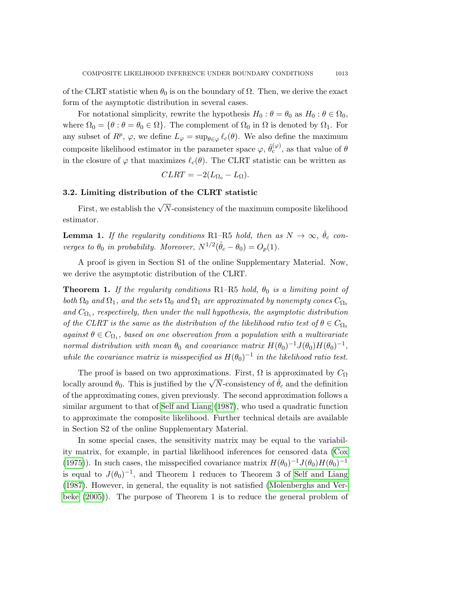of the CLRT statistic when  $\theta_0$  is on the boundary of  $\Omega$ . Then, we derive the exact form of the asymptotic distribution in several cases.

For notational simplicity, rewrite the hypothesis  $H_0$ :  $\theta = \theta_0$  as  $H_0$ :  $\theta \in \Omega_0$ , where  $\Omega_0 = \{\theta : \theta = \theta_0 \in \Omega\}$ . The complement of  $\Omega_0$  in  $\Omega$  is denoted by  $\Omega_1$ . For any subset of  $R^p$ ,  $\varphi$ , we define  $L_{\varphi} = \sup_{\theta \in \varphi} \ell_c(\theta)$ . We also define the maximum composite likelihood estimator in the parameter space  $\varphi, \hat{\theta}_c^{(\varphi)}$ , as that value of  $\theta$ in the closure of  $\varphi$  that maximizes  $\ell_c(\theta)$ . The CLRT statistic can be written as

$$
CLRT = -2(L_{\Omega_0} - L_{\Omega}).
$$

## 3.2. Limiting distribution of the CLRT statistic

First, we establish the  $\sqrt{N}$ -consistency of the maximum composite likelihood estimator.

**Lemma 1.** If the regularity conditions R1–R5 hold, then as  $N \to \infty$ ,  $\hat{\theta}_c$  converges to  $\theta_0$  in probability. Moreover,  $N^{1/2}(\hat{\theta}_c - \theta_0) = O_p(1)$ .

A proof is given in Section S1 of the online Supplementary Material. Now, we derive the asymptotic distribution of the CLRT.

<span id="page-8-0"></span>**Theorem 1.** If the regularity conditions R1–R5 hold,  $\theta_0$  is a limiting point of both  $\Omega_0$  and  $\Omega_1$ , and the sets  $\Omega_0$  and  $\Omega_1$  are approximated by nonempty cones  $C_{\Omega_0}$ and  $C_{\Omega_1}$ , respectively, then under the null hypothesis, the asymptotic distribution of the CLRT is the same as the distribution of the likelihood ratio test of  $\theta \in C_{\Omega_0}$ against  $\theta \in C_{\Omega_1}$ , based on one observation from a population with a multivariate normal distribution with mean  $\theta_0$  and covariance matrix  $H(\theta_0)^{-1}J(\theta_0)H(\theta_0)^{-1}$ , while the covariance matrix is misspecified as  $H(\theta_0)^{-1}$  in the likelihood ratio test.

The proof is based on two approximations. First,  $\Omega$  is approximated by  $C_{\Omega}$ Let proof is based on two approximations. First,  $\Omega$  is approximated by  $C_{\Omega}$  and the definition locally around  $\theta_0$ . This is justified by the  $\sqrt{N}$ -consistency of  $\hat{\theta}_c$  and the definition of the approximating cones, given previously. The second approximation follows a similar argument to that of [Self and Liang](#page-19-11) [\(1987\)](#page-19-11), who used a quadratic function to approximate the composite likelihood. Further technical details are available in Section S2 of the online Supplementary Material.

In some special cases, the sensitivity matrix may be equal to the variability matrix, for example, in partial likelihood inferences for censored data [\(Cox](#page-18-13) [\(1975\)](#page-18-13)). In such cases, the misspecified covariance matrix  $H(\theta_0)^{-1}J(\theta_0)H(\theta_0)^{-1}$ is equal to  $J(\theta_0)^{-1}$ , and Theorem [1](#page-8-0) reduces to Theorem 3 of [Self and Liang](#page-19-11) [\(1987\)](#page-19-11). However, in general, the equality is not satisfied [\(Molenberghs and Ver](#page-19-1)[beke](#page-19-1) [\(2005\)](#page-19-1)). The purpose of Theorem [1](#page-8-0) is to reduce the general problem of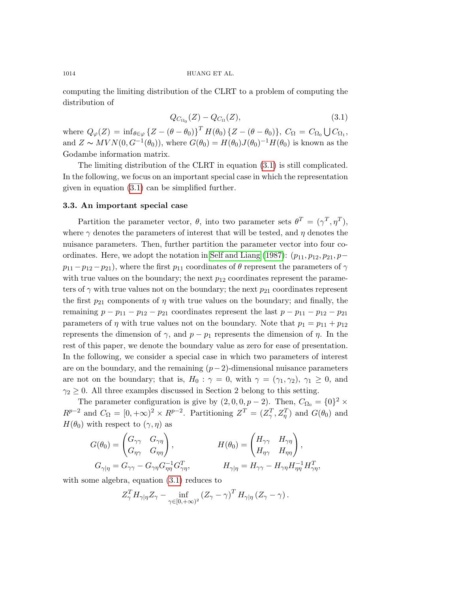computing the limiting distribution of the CLRT to a problem of computing the distribution of

<span id="page-9-0"></span>
$$
Q_{C_{\Omega_0}}(Z) - Q_{C_{\Omega}}(Z), \tag{3.1}
$$

where  $Q_{\varphi}(Z) = \inf_{\theta \in \varphi} \{ Z - (\theta - \theta_0) \}^T H(\theta_0) \{ Z - (\theta - \theta_0) \}, C_{\Omega} = C_{\Omega_0} \bigcup C_{\Omega_1},$ and  $Z \sim MVN(0, G^{-1}(\theta_0))$ , where  $G(\theta_0) = H(\theta_0)J(\theta_0)^{-1}H(\theta_0)$  is known as the Godambe information matrix.

The limiting distribution of the CLRT in equation [\(3.1\)](#page-9-0) is still complicated. In the following, we focus on an important special case in which the representation given in equation [\(3.1\)](#page-9-0) can be simplified further.

#### 3.3. An important special case

Partition the parameter vector,  $\theta$ , into two parameter sets  $\theta^T = (\gamma^T, \eta^T)$ , where  $\gamma$  denotes the parameters of interest that will be tested, and  $\eta$  denotes the nuisance parameters. Then, further partition the parameter vector into four co-ordinates. Here, we adopt the notation in [Self and Liang](#page-19-11) [\(1987\)](#page-19-11):  $(p_{11}, p_{12}, p_{21}, p-\alpha)$  $p_{11} - p_{12} - p_{21}$ , where the first  $p_{11}$  coordinates of  $\theta$  represent the parameters of  $\gamma$ with true values on the boundary; the next  $p_{12}$  coordinates represent the parameters of  $\gamma$  with true values not on the boundary; the next  $p_{21}$  coordinates represent the first  $p_{21}$  components of  $\eta$  with true values on the boundary; and finally, the remaining  $p - p_{11} - p_{12} - p_{21}$  coordinates represent the last  $p - p_{11} - p_{12} - p_{21}$ parameters of  $\eta$  with true values not on the boundary. Note that  $p_1 = p_{11} + p_{12}$ represents the dimension of  $\gamma$ , and  $p - p_1$  represents the dimension of  $\eta$ . In the rest of this paper, we denote the boundary value as zero for ease of presentation. In the following, we consider a special case in which two parameters of interest are on the boundary, and the remaining  $(p-2)$ -dimensional nuisance parameters are not on the boundary; that is,  $H_0$ :  $\gamma = 0$ , with  $\gamma = (\gamma_1, \gamma_2), \gamma_1 \geq 0$ , and  $\gamma_2 \geq 0$ . All three examples discussed in Section 2 belong to this setting.

The parameter configuration is give by  $(2,0,0,p-2)$ . Then,  $C_{\Omega_0} = \{0\}^2 \times$  $R^{p-2}$  and  $C_{\Omega} = [0, +\infty)^2 \times R^{p-2}$ . Partitioning  $Z^{T} = (Z_{\gamma}^{T}, Z_{\eta}^{T})$  and  $G(\theta_{0})$  and  $H(\theta_0)$  with respect to  $(\gamma, \eta)$  as

$$
G(\theta_0) = \begin{pmatrix} G_{\gamma\gamma} & G_{\gamma\eta} \\ G_{\eta\gamma} & G_{\eta\eta} \end{pmatrix}, \qquad H(\theta_0) = \begin{pmatrix} H_{\gamma\gamma} & H_{\gamma\eta} \\ H_{\eta\gamma} & H_{\eta\eta} \end{pmatrix},
$$
  

$$
G_{\gamma|\eta} = G_{\gamma\gamma} - G_{\gamma\eta} G_{\eta\eta}^{-1} G_{\gamma\eta}^T, \qquad H_{\gamma|\eta} = H_{\gamma\gamma} - H_{\gamma\eta} H_{\eta\eta}^{-1} H_{\gamma\eta}^T,
$$

with some algebra, equation  $(3.1)$  reduces to

$$
Z_{\gamma}^T H_{\gamma|\eta} Z_{\gamma} - \inf_{\gamma \in [0, +\infty)^2} \left( Z_{\gamma} - \gamma \right)^T H_{\gamma|\eta} \left( Z_{\gamma} - \gamma \right).
$$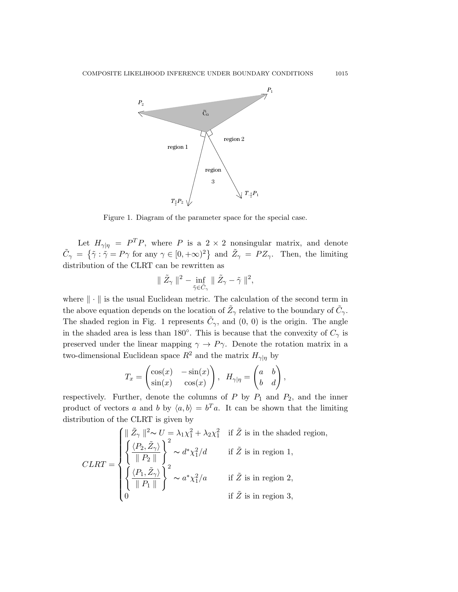<span id="page-10-0"></span>

Figure 1. Diagram of the parameter space for the special case.

Let  $H_{\gamma|\eta} = P^T P$ , where P is a 2 × 2 nonsingular matrix, and denote  $\tilde{C}_{\gamma} = \{\tilde{\gamma} : \tilde{\gamma} = P\gamma \text{ for any } \gamma \in [0, +\infty)^2 \}$  and  $\tilde{Z}_{\gamma} = PZ_{\gamma}$ . Then, the limiting distribution of the CLRT can be rewritten as

$$
\parallel \tilde{Z}_\gamma\parallel^2-\inf_{\tilde{\gamma}\in \tilde{C}_\gamma}\parallel \tilde{Z}_\gamma-\tilde{\gamma}\parallel^2,
$$

where  $\|\cdot\|$  is the usual Euclidean metric. The calculation of the second term in the above equation depends on the location of  $\tilde{Z}_\gamma$  relative to the boundary of  $\tilde{C}_\gamma$ . The shaded region in Fig. [1](#page-10-0) represents  $\tilde{C}_{\gamma}$ , and  $(0, 0)$  is the origin. The angle in the shaded area is less than 180 $^{\circ}$ . This is because that the convexity of  $C_{\gamma}$  is preserved under the linear mapping  $\gamma \to P \gamma$ . Denote the rotation matrix in a two-dimensional Euclidean space  $R^2$  and the matrix  $H_{\gamma|\eta}$  by

$$
T_x = \begin{pmatrix} \cos(x) & -\sin(x) \\ \sin(x) & \cos(x) \end{pmatrix}, \ \ H_{\gamma|\eta} = \begin{pmatrix} a & b \\ b & d \end{pmatrix},
$$

respectively. Further, denote the columns of  $P$  by  $P_1$  and  $P_2$ , and the inner product of vectors a and b by  $\langle a, b \rangle = b^T a$ . It can be shown that the limiting distribution of the CLRT is given by

$$
CLRT = \begin{cases} \n\|\tilde{Z}_{\gamma}\|^{2} \sim U = \lambda_{1} \chi_{1}^{2} + \lambda_{2} \chi_{1}^{2} & \text{if } \tilde{Z} \text{ is in the shaded region,} \\
\left\{\frac{\langle P_{2}, \tilde{Z}_{\gamma} \rangle}{\|P_{2}\|}\right\}^{2} \sim d^{*} \chi_{1}^{2}/d & \text{if } \tilde{Z} \text{ is in region 1,} \\
\left\{\frac{\langle P_{1}, \tilde{Z}_{\gamma} \rangle}{\|P_{1}\|}\right\}^{2} \sim a^{*} \chi_{1}^{2}/a & \text{if } \tilde{Z} \text{ is in region 2,} \\
0 & \text{if } \tilde{Z} \text{ is in region 3,}\n\end{cases}
$$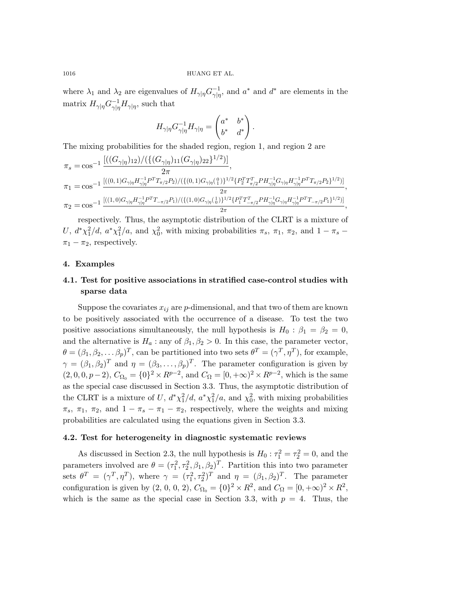where  $\lambda_1$  and  $\lambda_2$  are eigenvalues of  $H_{\gamma|\eta} G_{\gamma|\eta}^{-1}$  $\frac{-1}{\gamma|\eta}$ , and  $a^*$  and  $d^*$  are elements in the matrix  $H_{\gamma|\eta} G_{\gamma|\eta}^{-1}$  $\frac{1}{\gamma |\eta} H_{\gamma |\eta}$ , such that

$$
H_{\gamma|\eta}G_{\gamma|\eta}^{-1}H_{\gamma|\eta} = \begin{pmatrix} a^* & b^* \\ b^* & d^* \end{pmatrix}.
$$

The mixing probabilities for the shaded region, region 1, and region 2 are

$$
\pi_{s} = \cos^{-1} \frac{\left[ ((G_{\gamma|\eta})_{12}) / (\{(G_{\gamma|\eta})_{11}(G_{\gamma|\eta})_{22}\}^{1/2}) \right]}{2\pi},
$$
\n
$$
\pi_{1} = \cos^{-1} \frac{\left[ ((0,1)G_{\gamma|\eta}H_{\gamma|\eta}^{-1}P^{T}T_{\pi/2}P_{2}) / (\{(0,1)G_{\gamma|\eta}(\eta)\}^{1/2}\{P_{2}^{T}T_{\pi/2}^{T}PH_{\gamma|\eta}^{-1}G_{\gamma|\eta}H_{\gamma|\eta}^{-1}P^{T}T_{\pi/2}P_{2}\}^{1/2}) \right]}{2\pi}
$$
\n
$$
\pi_{2} = \cos^{-1} \frac{\left[ ((1,0)G_{\gamma|\eta}H_{\gamma|\eta}^{-1}P^{T}T_{-\pi/2}P_{1}) / (\{(1,0)G_{\gamma|\eta}(\eta)\}^{1/2}\{P_{1}^{T}T_{-\pi/2}^{T}PH_{\gamma|\eta}^{-1}G_{\gamma|\eta}H_{\gamma|\eta}^{-1}P^{T}T_{-\pi/2}P_{1}\}^{1/2}) \right]}{2\pi}
$$

,

,

respectively. Thus, the asymptotic distribution of the CLRT is a mixture of U,  $d^*\chi_1^2/d$ ,  $a^*\chi_1^2/a$ , and  $\chi_0^2$ , with mixing probabilities  $\pi_s$ ,  $\pi_1$ ,  $\pi_2$ , and  $1 - \pi_s$  $\pi_1 - \pi_2$ , respectively.

#### 4. Examples

## 4.1. Test for positive associations in stratified case-control studies with sparse data

Suppose the covariates  $x_{ij}$  are p-dimensional, and that two of them are known to be positively associated with the occurrence of a disease. To test the two positive associations simultaneously, the null hypothesis is  $H_0$ :  $\beta_1 = \beta_2 = 0$ , and the alternative is  $H_a$ : any of  $\beta_1, \beta_2 > 0$ . In this case, the parameter vector,  $\theta = (\beta_1, \beta_2, \dots \beta_p)^T$ , can be partitioned into two sets  $\theta^T = (\gamma^T, \eta^T)$ , for example,  $\gamma = (\beta_1, \beta_2)^T$  and  $\eta = (\beta_3, \dots, \beta_p)^T$ . The parameter configuration is given by  $(2, 0, 0, p-2), C_{\Omega_0} = \{0\}^2 \times R^{p-2}$ , and  $C_{\Omega} = [0, +\infty)^2 \times R^{p-2}$ , which is the same as the special case discussed in Section 3.3. Thus, the asymptotic distribution of the CLRT is a mixture of U,  $d^*\chi_1^2/d$ ,  $a^*\chi_1^2/a$ , and  $\chi_0^2$ , with mixing probabilities  $\pi_s$ ,  $\pi_1$ ,  $\pi_2$ , and  $1 - \pi_s - \pi_1 - \pi_2$ , respectively, where the weights and mixing probabilities are calculated using the equations given in Section 3.3.

#### 4.2. Test for heterogeneity in diagnostic systematic reviews

As discussed in Section 2.3, the null hypothesis is  $H_0: \tau_1^2 = \tau_2^2 = 0$ , and the parameters involved are  $\theta = (\tau_1^2, \tau_2^2, \beta_1, \beta_2)^T$ . Partition this into two parameter sets  $\theta^T = (\gamma^T, \eta^T)$ , where  $\gamma = (\tau_1^2, \tau_2^2)^T$  and  $\eta = (\beta_1, \beta_2)^T$ . The parameter configuration is given by  $(2, 0, 0, 2)$ ,  $C_{\Omega_0} = \{0\}^2 \times \mathbb{R}^2$ , and  $C_{\Omega} = [0, +\infty)^2 \times \mathbb{R}^2$ , which is the same as the special case in Section 3.3, with  $p = 4$ . Thus, the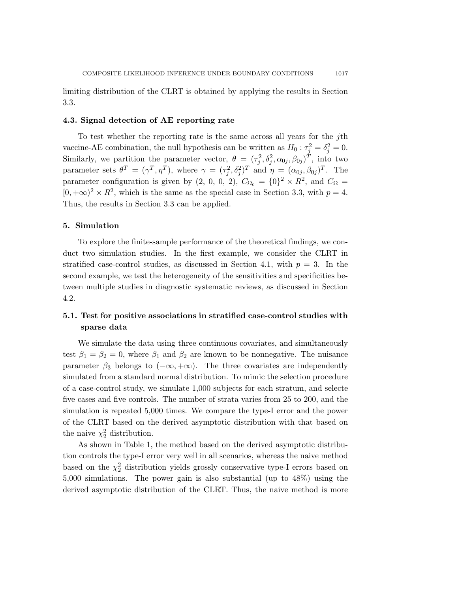limiting distribution of the CLRT is obtained by applying the results in Section 3.3.

#### 4.3. Signal detection of AE reporting rate

To test whether the reporting rate is the same across all years for the jth vaccine-AE combination, the null hypothesis can be written as  $H_0: \tau_j^2 = \delta_j^2 = 0$ . Similarly, we partition the parameter vector,  $\theta = (\tau_j^2, \delta_j^2, \alpha_{0j}, \beta_{0j})^T$ , into two parameter sets  $\theta^T = (\gamma^T, \eta^T)$ , where  $\gamma = (\tau_j^2, \delta_j^2)^T$  and  $\eta = (\alpha_{0j}, \beta_{0j})^T$ . The parameter configuration is given by  $(2, 0, 0, 2)$ ,  $C_{\Omega_0} = \{0\}^2 \times \mathbb{R}^2$ , and  $C_{\Omega} =$  $[0, +\infty)^2 \times \mathbb{R}^2$ , which is the same as the special case in Section 3.3, with  $p = 4$ . Thus, the results in Section 3.3 can be applied.

#### 5. Simulation

To explore the finite-sample performance of the theoretical findings, we conduct two simulation studies. In the first example, we consider the CLRT in stratified case-control studies, as discussed in Section 4.1, with  $p = 3$ . In the second example, we test the heterogeneity of the sensitivities and specificities between multiple studies in diagnostic systematic reviews, as discussed in Section 4.2.

# 5.1. Test for positive associations in stratified case-control studies with sparse data

We simulate the data using three continuous covariates, and simultaneously test  $\beta_1 = \beta_2 = 0$ , where  $\beta_1$  and  $\beta_2$  are known to be nonnegative. The nuisance parameter  $\beta_3$  belongs to  $(-\infty, +\infty)$ . The three covariates are independently simulated from a standard normal distribution. To mimic the selection procedure of a case-control study, we simulate 1,000 subjects for each stratum, and selecte five cases and five controls. The number of strata varies from 25 to 200, and the simulation is repeated 5,000 times. We compare the type-I error and the power of the CLRT based on the derived asymptotic distribution with that based on the naive  $\chi_2^2$  distribution.

As shown in Table [1,](#page-13-0) the method based on the derived asymptotic distribution controls the type-I error very well in all scenarios, whereas the naive method based on the  $\chi^2$  distribution yields grossly conservative type-I errors based on 5,000 simulations. The power gain is also substantial (up to 48%) using the derived asymptotic distribution of the CLRT. Thus, the naive method is more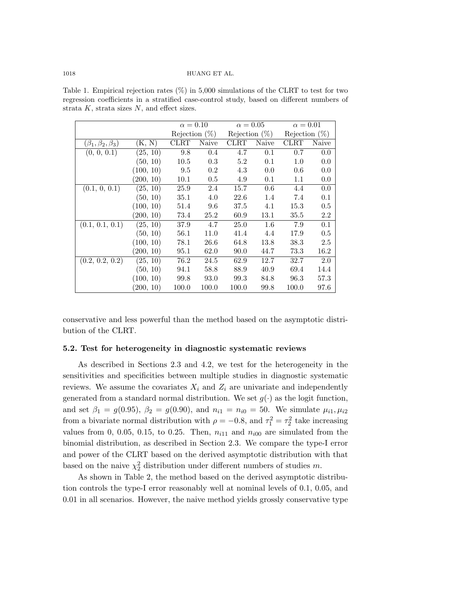<span id="page-13-0"></span>Table 1. Empirical rejection rates  $(\%)$  in 5,000 simulations of the CLRT to test for two regression coefficients in a stratified case-control study, based on different numbers of strata  $K$ , strata sizes  $N$ , and effect sizes.

|                             |           | $\alpha = 0.10$  |       | $\alpha = 0.05$  |       | $\alpha = 0.01$  |       |
|-----------------------------|-----------|------------------|-------|------------------|-------|------------------|-------|
|                             |           | Rejection $(\%)$ |       | Rejection $(\%)$ |       | Rejection $(\%)$ |       |
| $(\beta_1,\beta_2,\beta_3)$ | (K, N)    | CLRT             | Naive | CLRT             | Naive | CLRT             | Naive |
| (0, 0, 0.1)                 | (25, 10)  | 9.8              | 0.4   | 4.7              | 0.1   | 0.7              | 0.0   |
|                             | (50, 10)  | 10.5             | 0.3   | 5.2              | 0.1   | 1.0              | 0.0   |
|                             | (100, 10) | 9.5              | 0.2   | 4.3              | 0.0   | 0.6              | 0.0   |
|                             | (200, 10) | 10.1             | 0.5   | 4.9              | 0.1   | 1.1              | 0.0   |
| (0.1, 0, 0.1)               | (25, 10)  | 25.9             | 2.4   | 15.7             | 0.6   | 4.4              | 0.0   |
|                             | (50, 10)  | 35.1             | 4.0   | 22.6             | 1.4   | 7.4              | 0.1   |
|                             | (100, 10) | 51.4             | 9.6   | 37.5             | 4.1   | 15.3             | 0.5   |
|                             | (200, 10) | 73.4             | 25.2  | 60.9             | 13.1  | 35.5             | 2.2   |
| (0.1, 0.1, 0.1)             | (25, 10)  | 37.9             | 4.7   | 25.0             | 1.6   | 7.9              | 0.1   |
|                             | (50, 10)  | 56.1             | 11.0  | 41.4             | 4.4   | 17.9             | 0.5   |
|                             | (100, 10) | 78.1             | 26.6  | 64.8             | 13.8  | 38.3             | 2.5   |
|                             | (200, 10) | 95.1             | 62.0  | 90.0             | 44.7  | 73.3             | 16.2  |
| (0.2, 0.2, 0.2)             | (25, 10)  | 76.2             | 24.5  | 62.9             | 12.7  | 32.7             | 2.0   |
|                             | (50, 10)  | 94.1             | 58.8  | 88.9             | 40.9  | 69.4             | 14.4  |
|                             | (100, 10) | 99.8             | 93.0  | 99.3             | 84.8  | 96.3             | 57.3  |
|                             | (200, 10) | 100.0            | 100.0 | 100.0            | 99.8  | 100.0            | 97.6  |

conservative and less powerful than the method based on the asymptotic distribution of the CLRT.

#### 5.2. Test for heterogeneity in diagnostic systematic reviews

As described in Sections 2.3 and 4.2, we test for the heterogeneity in the sensitivities and specificities between multiple studies in diagnostic systematic reviews. We assume the covariates  $X_i$  and  $Z_i$  are univariate and independently generated from a standard normal distribution. We set  $g(\cdot)$  as the logit function, and set  $\beta_1 = g(0.95)$ ,  $\beta_2 = g(0.90)$ , and  $n_{i1} = n_{i0} = 50$ . We simulate  $\mu_{i1}, \mu_{i2}$ from a bivariate normal distribution with  $\rho = -0.8$ , and  $\tau_1^2 = \tau_2^2$  take increasing values from 0, 0.05, 0.15, to 0.25. Then,  $n_{i11}$  and  $n_{i00}$  are simulated from the binomial distribution, as described in Section 2.3. We compare the type-I error and power of the CLRT based on the derived asymptotic distribution with that based on the naive  $\chi^2$  distribution under different numbers of studies m.

As shown in Table [2,](#page-14-0) the method based on the derived asymptotic distribution controls the type-I error reasonably well at nominal levels of 0.1, 0.05, and 0.01 in all scenarios. However, the naive method yields grossly conservative type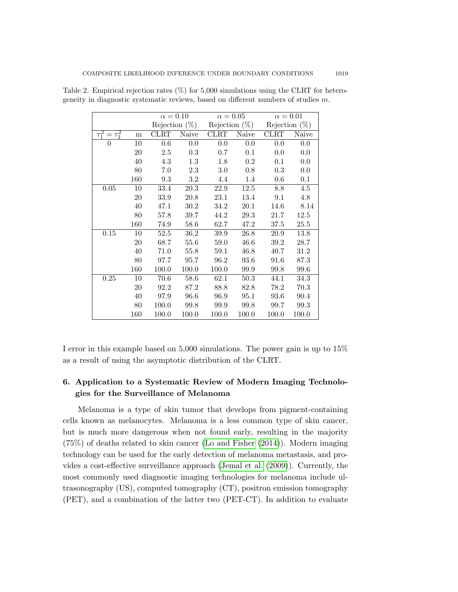|                     |           |         |                   | $\alpha = 0.10$ $\alpha = 0.05$                    |                   | $\alpha=0.01$    |                  |
|---------------------|-----------|---------|-------------------|----------------------------------------------------|-------------------|------------------|------------------|
|                     |           |         |                   | Rejection $(\%)$ Rejection $(\%)$ Rejection $(\%)$ |                   |                  |                  |
| $\tau_1^2=\tau_2^2$ | ${\bf m}$ |         | CLRT Naive        |                                                    | CLRT Naive        | CLRT             | Naive            |
| $\overline{0}$      | 10        | $0.6\,$ | 0.0               | $0.0\,$                                            | 0.0               | 0.0              | 0.0              |
|                     | 20        | 2.5     | 0.3               | 0.7                                                | $0.1\,$           | 0.0              | 0.0              |
|                     | 40        | 4.3     | 1.3               | 1.8                                                | $0.2\,$           | 0.1              | 0.0              |
|                     | 80        | 7.0     | 2.3               | 3.0                                                | 0.8               | 0.3              | 0.0              |
|                     | 160       | 9.3     | 3.2               | 4.4                                                | 1.4               | 0.6              | 0.1              |
| 0.05                | 10        | 33.4    | $\overline{20.3}$ | $\overline{22.9}$                                  | $\overline{12.5}$ | $\overline{8.8}$ | $\overline{4.5}$ |
|                     | 20        | 33.9    | 20.8              | 23.1                                               | 13.4              | 9.1              | 4.8              |
|                     | 40        | 47.1    | 30.2              | 34.2                                               | 20.1              | 14.6             | 8.14             |
|                     | 80        | 57.8    | 39.7              | 44.2                                               | 29.3              | 21.7             | 12.5             |
|                     | 160       | 74.9    | 58.6              | 62.7                                               | 47.2              | 37.5             | 25.5             |
| 0.15                | 10        | 52.5    | 36.2              | 39.9                                               | 26.8              | 20.9             | 13.8             |
|                     | $20\,$    | 68.7    | $55.6\,$          | 59.0                                               | 46.6              | 39.2             | 28.7             |
|                     | 40        | 71.0    | $55.8\,$          | 59.1                                               | 46.8              | 40.7             | 31.2             |
|                     | 80        | 97.7    | 95.7              | 96.2                                               | 93.6              | 91.6             | 87.3             |
|                     | 160       | 100.0   | 100.0             | 100.0                                              | 99.9              | 99.8             | 99.6             |
| 0.25                | 10        | 70.6    | 58.6              | 62.1                                               | 50.3              | 44.1             | 34.3             |
|                     | $20\,$    | 92.2    | 87.2              | 88.8                                               | 82.8              | 78.2             | 70.3             |
|                     | 40        | 97.9    | 96.6              | 96.9                                               | 95.1              | 93.6             | 90.4             |
|                     | 80        | 100.0   | 99.8              | 99.9                                               | 99.8              | 99.7             | 99.3             |
|                     | 160       | 100.0   | 100.0             | 100.0                                              | 100.0             | 100.0            | 100.0            |

<span id="page-14-0"></span>Table 2. Empirical rejection rates  $(\%)$  for 5,000 simulations using the CLRT for heterogeneity in diagnostic systematic reviews, based on different numbers of studies m.

I error in this example based on 5,000 simulations. The power gain is up to 15% as a result of using the asymptotic distribution of the CLRT.

## 6. Application to a Systematic Review of Modern Imaging Technologies for the Surveillance of Melanoma

Melanoma is a type of skin tumor that develops from pigment-containing cells known as melanocytes. Melanoma is a less common type of skin cancer, but is much more dangerous when not found early, resulting in the majority (75%) of deaths related to skin cancer [\(Lo and Fisher](#page-19-18) [\(2014\)](#page-19-18)). Modern imaging technology can be used for the early detection of melanoma metastasis, and provides a cost-effective surveillance approach [\(Jemal et al.](#page-18-14) [\(2009\)](#page-18-14)). Currently, the most commonly used diagnostic imaging technologies for melanoma include ultrasonography (US), computed tomography (CT), positron emission tomography (PET), and a combination of the latter two (PET-CT). In addition to evaluate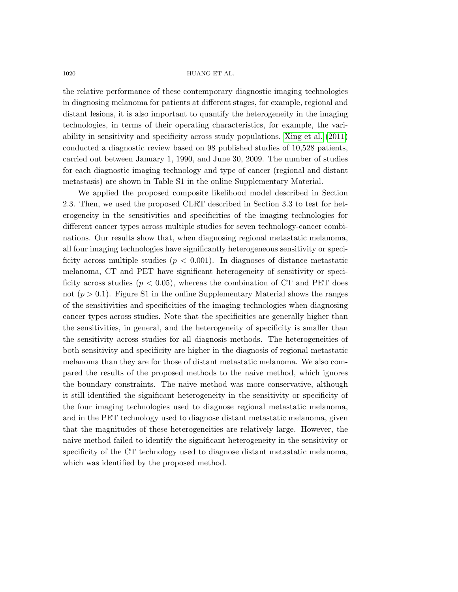the relative performance of these contemporary diagnostic imaging technologies in diagnosing melanoma for patients at different stages, for example, regional and distant lesions, it is also important to quantify the heterogeneity in the imaging technologies, in terms of their operating characteristics, for example, the variability in sensitivity and specificity across study populations. [Xing et al.](#page-20-1) [\(2011\)](#page-20-1) conducted a diagnostic review based on 98 published studies of 10,528 patients, carried out between January 1, 1990, and June 30, 2009. The number of studies for each diagnostic imaging technology and type of cancer (regional and distant metastasis) are shown in Table S1 in the online Supplementary Material.

We applied the proposed composite likelihood model described in Section 2.3. Then, we used the proposed CLRT described in Section 3.3 to test for heterogeneity in the sensitivities and specificities of the imaging technologies for different cancer types across multiple studies for seven technology-cancer combinations. Our results show that, when diagnosing regional metastatic melanoma, all four imaging technologies have significantly heterogeneous sensitivity or specificity across multiple studies ( $p < 0.001$ ). In diagnoses of distance metastatic melanoma, CT and PET have significant heterogeneity of sensitivity or specificity across studies ( $p < 0.05$ ), whereas the combination of CT and PET does not  $(p > 0.1)$ . Figure S1 in the online Supplementary Material shows the ranges of the sensitivities and specificities of the imaging technologies when diagnosing cancer types across studies. Note that the specificities are generally higher than the sensitivities, in general, and the heterogeneity of specificity is smaller than the sensitivity across studies for all diagnosis methods. The heterogeneities of both sensitivity and specificity are higher in the diagnosis of regional metastatic melanoma than they are for those of distant metastatic melanoma. We also compared the results of the proposed methods to the naive method, which ignores the boundary constraints. The naive method was more conservative, although it still identified the significant heterogeneity in the sensitivity or specificity of the four imaging technologies used to diagnose regional metastatic melanoma, and in the PET technology used to diagnose distant metastatic melanoma, given that the magnitudes of these heterogeneities are relatively large. However, the naive method failed to identify the significant heterogeneity in the sensitivity or specificity of the CT technology used to diagnose distant metastatic melanoma, which was identified by the proposed method.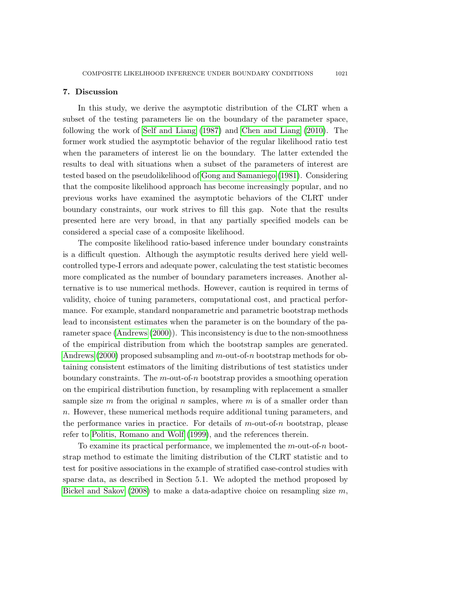#### 7. Discussion

In this study, we derive the asymptotic distribution of the CLRT when a subset of the testing parameters lie on the boundary of the parameter space, following the work of [Self and Liang](#page-19-11) [\(1987\)](#page-19-11) and [Chen and Liang](#page-18-8) [\(2010\)](#page-18-8). The former work studied the asymptotic behavior of the regular likelihood ratio test when the parameters of interest lie on the boundary. The latter extended the results to deal with situations when a subset of the parameters of interest are tested based on the pseudolikelihood of [Gong and Samaniego](#page-18-15) [\(1981\)](#page-18-15). Considering that the composite likelihood approach has become increasingly popular, and no previous works have examined the asymptotic behaviors of the CLRT under boundary constraints, our work strives to fill this gap. Note that the results presented here are very broad, in that any partially specified models can be considered a special case of a composite likelihood.

The composite likelihood ratio-based inference under boundary constraints is a difficult question. Although the asymptotic results derived here yield wellcontrolled type-I errors and adequate power, calculating the test statistic becomes more complicated as the number of boundary parameters increases. Another alternative is to use numerical methods. However, caution is required in terms of validity, choice of tuning parameters, computational cost, and practical performance. For example, standard nonparametric and parametric bootstrap methods lead to inconsistent estimates when the parameter is on the boundary of the parameter space [\(Andrews](#page-17-1) [\(2000\)](#page-17-1)). This inconsistency is due to the non-smoothness of the empirical distribution from which the bootstrap samples are generated. [Andrews](#page-17-1) [\(2000\)](#page-17-1) proposed subsampling and m-out-of-n bootstrap methods for obtaining consistent estimators of the limiting distributions of test statistics under boundary constraints. The  $m$ -out-of-n bootstrap provides a smoothing operation on the empirical distribution function, by resampling with replacement a smaller sample size m from the original n samples, where m is of a smaller order than n. However, these numerical methods require additional tuning parameters, and the performance varies in practice. For details of  $m$ -out-of-n bootstrap, please refer to [Politis, Romano and Wolf](#page-19-19) [\(1999\)](#page-19-19), and the references therein.

To examine its practical performance, we implemented the  $m$ -out-of-n bootstrap method to estimate the limiting distribution of the CLRT statistic and to test for positive associations in the example of stratified case-control studies with sparse data, as described in Section 5.1. We adopted the method proposed by [Bickel and Sakov](#page-18-16) [\(2008\)](#page-18-16) to make a data-adaptive choice on resampling size  $m$ ,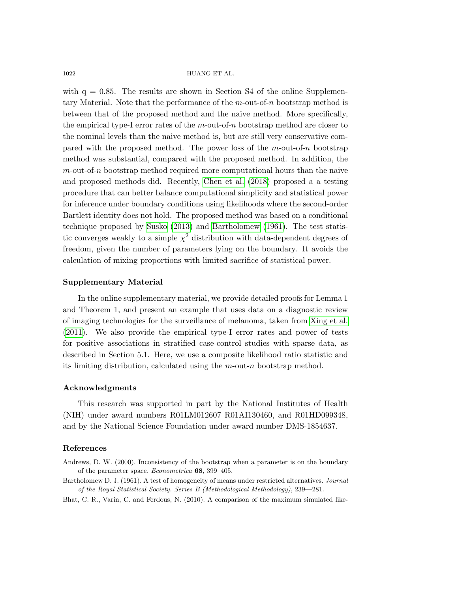with  $q = 0.85$ . The results are shown in Section S4 of the online Supplementary Material. Note that the performance of the  $m$ -out-of-n bootstrap method is between that of the proposed method and the naive method. More specifically, the empirical type-I error rates of the  $m$ -out-of-n bootstrap method are closer to the nominal levels than the naive method is, but are still very conservative compared with the proposed method. The power loss of the  $m$ -out-of-n bootstrap method was substantial, compared with the proposed method. In addition, the  $m$ -out-of-n bootstrap method required more computational hours than the naive and proposed methods did. Recently, [Chen et al.](#page-18-17) [\(2018\)](#page-18-17) proposed a a testing procedure that can better balance computational simplicity and statistical power for inference under boundary conditions using likelihoods where the second-order Bartlett identity does not hold. The proposed method was based on a conditional technique proposed by [Susko](#page-19-20) [\(2013\)](#page-19-20) and [Bartholomew](#page-17-2) [\(1961\)](#page-17-2). The test statistic converges weakly to a simple  $\chi^2$  distribution with data-dependent degrees of freedom, given the number of parameters lying on the boundary. It avoids the calculation of mixing proportions with limited sacrifice of statistical power.

#### Supplementary Material

In the online supplementary material, we provide detailed proofs for Lemma 1 and Theorem 1, and present an example that uses data on a diagnostic review of imaging technologies for the surveillance of melanoma, taken from [Xing et al.](#page-20-1) [\(2011\)](#page-20-1). We also provide the empirical type-I error rates and power of tests for positive associations in stratified case-control studies with sparse data, as described in Section 5.1. Here, we use a composite likelihood ratio statistic and its limiting distribution, calculated using the m-out-n bootstrap method.

### Acknowledgments

This research was supported in part by the National Institutes of Health (NIH) under award numbers R01LM012607 R01AI130460, and R01HD099348, and by the National Science Foundation under award number DMS-1854637.

## References

- <span id="page-17-1"></span>Andrews, D. W. (2000). Inconsistency of the bootstrap when a parameter is on the boundary of the parameter space. Econometrica 68, 399–405.
- <span id="page-17-2"></span>Bartholomew D. J. (1961). A test of homogeneity of means under restricted alternatives. Journal of the Royal Statistical Society. Series B (Methodological Methodology), 239—281.
- <span id="page-17-0"></span>Bhat, C. R., Varin, C. and Ferdous, N. (2010). A comparison of the maximum simulated like-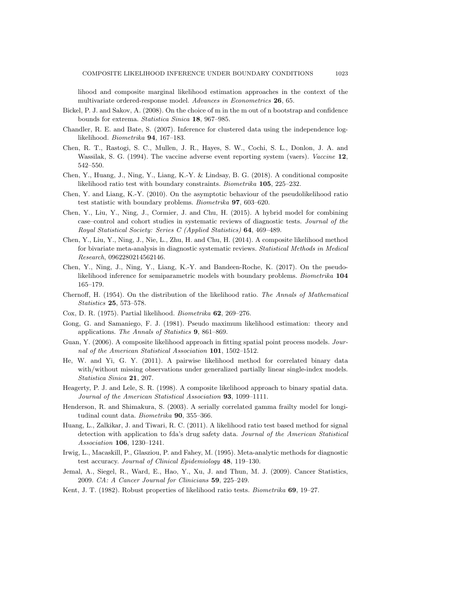lihood and composite marginal likelihood estimation approaches in the context of the multivariate ordered-response model. Advances in Econometrics 26, 65.

- <span id="page-18-16"></span>Bickel, P. J. and Sakov, A. (2008). On the choice of m in the m out of n bootstrap and confidence bounds for extrema. Statistica Sinica 18, 967–985.
- <span id="page-18-4"></span>Chandler, R. E. and Bate, S. (2007). Inference for clustered data using the independence loglikelihood. Biometrika 94, 167–183.
- <span id="page-18-10"></span>Chen, R. T., Rastogi, S. C., Mullen, J. R., Hayes, S. W., Cochi, S. L., Donlon, J. A. and Wassilak, S. G. (1994). The vaccine adverse event reporting system (vaers). Vaccine 12, 542–550.
- <span id="page-18-17"></span>Chen, Y., Huang, J., Ning, Y., Liang, K.-Y. & Lindsay, B. G. (2018). A conditional composite likelihood ratio test with boundary constraints. Biometrika 105, 225–232.
- <span id="page-18-8"></span>Chen, Y. and Liang, K.-Y. (2010). On the asymptotic behaviour of the pseudolikelihood ratio test statistic with boundary problems. Biometrika 97, 603–620.
- <span id="page-18-7"></span>Chen, Y., Liu, Y., Ning, J., Cormier, J. and Chu, H. (2015). A hybrid model for combining case–control and cohort studies in systematic reviews of diagnostic tests. Journal of the Royal Statistical Society: Series C (Applied Statistics) 64, 469–489.
- <span id="page-18-6"></span>Chen, Y., Liu, Y., Ning, J., Nie, L., Zhu, H. and Chu, H. (2014). A composite likelihood method for bivariate meta-analysis in diagnostic systematic reviews. Statistical Methods in Medical Research, 0962280214562146.
- Chen, Y., Ning, J., Ning, Y., Liang, K.-Y. and Bandeen-Roche, K. (2017). On the pseudolikelihood inference for semiparametric models with boundary problems. Biometrika 104 165–179.
- <span id="page-18-12"></span>Chernoff, H. (1954). On the distribution of the likelihood ratio. The Annals of Mathematical Statistics 25, 573–578.
- <span id="page-18-13"></span>Cox, D. R. (1975). Partial likelihood. Biometrika 62, 269–276.
- <span id="page-18-15"></span>Gong, G. and Samaniego, F. J. (1981). Pseudo maximum likelihood estimation: theory and applications. The Annals of Statistics 9, 861–869.
- <span id="page-18-2"></span>Guan, Y. (2006). A composite likelihood approach in fitting spatial point process models. Journal of the American Statistical Association 101, 1502–1512.
- <span id="page-18-3"></span>He, W. and Yi, G. Y. (2011). A pairwise likelihood method for correlated binary data with/without missing observations under generalized partially linear single-index models. Statistica Sinica 21, 207.
- <span id="page-18-0"></span>Heagerty, P. J. and Lele, S. R. (1998). A composite likelihood approach to binary spatial data. Journal of the American Statistical Association 93, 1099–1111.
- <span id="page-18-1"></span>Henderson, R. and Shimakura, S. (2003). A serially correlated gamma frailty model for longitudinal count data. Biometrika 90, 355-366.
- <span id="page-18-11"></span>Huang, L., Zalkikar, J. and Tiwari, R. C. (2011). A likelihood ratio test based method for signal detection with application to fda's drug safety data. Journal of the American Statistical Association 106, 1230–1241.
- <span id="page-18-9"></span>Irwig, L., Macaskill, P., Glasziou, P. and Fahey, M. (1995). Meta-analytic methods for diagnostic test accuracy. Journal of Clinical Epidemiology 48, 119–130.
- <span id="page-18-14"></span>Jemal, A., Siegel, R., Ward, E., Hao, Y., Xu, J. and Thun, M. J. (2009). Cancer Statistics, 2009. CA: A Cancer Journal for Clinicians 59, 225–249.
- <span id="page-18-5"></span>Kent, J. T. (1982). Robust properties of likelihood ratio tests. *Biometrika* 69, 19–27.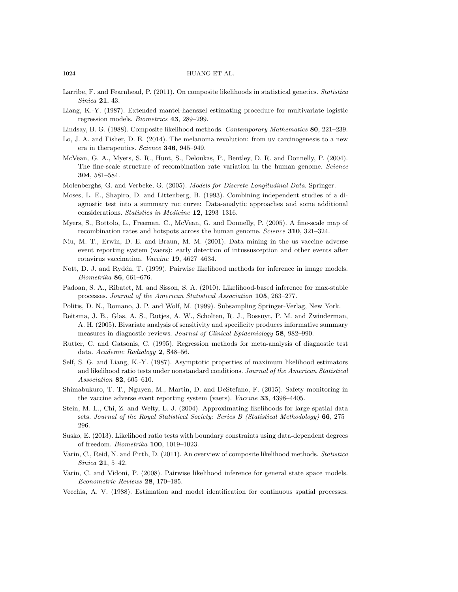- <span id="page-19-4"></span>Larribe, F. and Fearnhead, P. (2011). On composite likelihoods in statistical genetics. Statistica Sinica 21, 43.
- <span id="page-19-12"></span>Liang, K.-Y. (1987). Extended mantel-haenszel estimating procedure for multivariate logistic regression models. Biometrics 43, 289–299.
- <span id="page-19-0"></span>Lindsay, B. G. (1988). Composite likelihood methods. Contemporary Mathematics 80, 221–239.
- <span id="page-19-18"></span>Lo, J. A. and Fisher, D. E. (2014). The melanoma revolution: from uv carcinogenesis to a new era in therapeutics. Science 346, 945-949.
- <span id="page-19-2"></span>McVean, G. A., Myers, S. R., Hunt, S., Deloukas, P., Bentley, D. R. and Donnelly, P. (2004). The fine-scale structure of recombination rate variation in the human genome. Science 304, 581–584.
- <span id="page-19-1"></span>Molenberghs, G. and Verbeke, G. (2005). Models for Discrete Longitudinal Data. Springer.
- <span id="page-19-14"></span>Moses, L. E., Shapiro, D. and Littenberg, B. (1993). Combining independent studies of a diagnostic test into a summary roc curve: Data-analytic approaches and some additional considerations. Statistics in Medicine 12, 1293–1316.
- <span id="page-19-3"></span>Myers, S., Bottolo, L., Freeman, C., McVean, G. and Donnelly, P. (2005). A fine-scale map of recombination rates and hotspots across the human genome. Science 310, 321–324.
- <span id="page-19-16"></span>Niu, M. T., Erwin, D. E. and Braun, M. M. (2001). Data mining in the us vaccine adverse event reporting system (vaers): early detection of intussusception and other events after rotavirus vaccination. Vaccine 19, 4627–4634.
- <span id="page-19-6"></span>Nott, D. J. and Rydén, T. (1999). Pairwise likelihood methods for inference in image models. Biometrika 86, 661–676.
- <span id="page-19-8"></span>Padoan, S. A., Ribatet, M. and Sisson, S. A. (2010). Likelihood-based inference for max-stable processes. Journal of the American Statistical Association 105, 263–277.
- <span id="page-19-19"></span>Politis, D. N., Romano, J. P. and Wolf, M. (1999). Subsampling Springer-Verlag, New York.
- <span id="page-19-13"></span>Reitsma, J. B., Glas, A. S., Rutjes, A. W., Scholten, R. J., Bossuyt, P. M. and Zwinderman, A. H. (2005). Bivariate analysis of sensitivity and specificity produces informative summary measures in diagnostic reviews. Journal of Clinical Epidemiology 58, 982-990.
- <span id="page-19-15"></span>Rutter, C. and Gatsonis, C. (1995). Regression methods for meta-analysis of diagnostic test data. Academic Radiology 2, S48–56.
- <span id="page-19-11"></span>Self, S. G. and Liang, K.-Y. (1987). Asymptotic properties of maximum likelihood estimators and likelihood ratio tests under nonstandard conditions. Journal of the American Statistical Association 82, 605–610.
- <span id="page-19-17"></span>Shimabukuro, T. T., Nguyen, M., Martin, D. and DeStefano, F. (2015). Safety monitoring in the vaccine adverse event reporting system (vaers). Vaccine 33, 4398–4405.
- <span id="page-19-7"></span>Stein, M. L., Chi, Z. and Welty, L. J. (2004). Approximating likelihoods for large spatial data sets. Journal of the Royal Statistical Society: Series B (Statistical Methodology) 66, 275– 296.
- <span id="page-19-20"></span>Susko, E. (2013). Likelihood ratio tests with boundary constraints using data-dependent degrees of freedom. Biometrika 100, 1019–1023.
- <span id="page-19-10"></span>Varin, C., Reid, N. and Firth, D. (2011). An overview of composite likelihood methods. Statistica Sinica 21, 5–42.
- <span id="page-19-9"></span>Varin, C. and Vidoni, P. (2008). Pairwise likelihood inference for general state space models. Econometric Reviews 28, 170–185.
- <span id="page-19-5"></span>Vecchia, A. V. (1988). Estimation and model identification for continuous spatial processes.